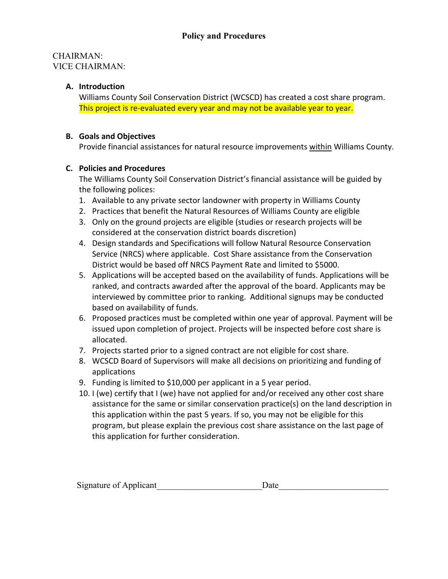#### CHAIRMAN: VICE CHAIRMAN:

### **A. Introduction**

Williams County Soil Conservation District (WCSCD) has created a cost share program. This project is re-evaluated every year and may not be available year to year.

#### **B. Goals and Objectives**

Provide financial assistances for natural resource improvements within Williams County.

#### **C. Policies and Procedures**

The Williams County Soil Conservation District's financial assistance will be guided by the following polices:

- 1. Available to any private sector landowner with property in Williams County
- 2. Practices that benefit the Natural Resources of Williams County are eligible
- 3. Only on the ground projects are eligible (studies or research projects will be considered at the conservation district boards discretion)
- 4. Design standards and Specifications will follow Natural Resource Conservation Service (NRCS) where applicable. Cost Share assistance from the Conservation District would be based off NRCS Payment Rate and limited to \$5000.
- 5. Applications will be accepted based on the availability of funds. Applications will be ranked, and contracts awarded after the approval of the board. Applicants may be interviewed by committee prior to ranking. Additional signups may be conducted based on availability of funds.
- 6. Proposed practices must be completed within one year of approval. Payment will be issued upon completion of project. Projects will be inspected before cost share is allocated.
- 7. Projects started prior to a signed contract are not eligible for cost share.
- 8. WCSCD Board of Supervisors will make all decisions on prioritizing and funding of applications
- 9. Funding is limited to \$10,000 per applicant in a 5 year period.
- 10. I (we) certify that I (we) have not applied for and/or received any other cost share assistance for the same or similar conservation practice(s) on the land description in this application within the past 5 years. If so, you may not be eligible for this program, but please explain the previous cost share assistance on the last page of this application for further consideration.

| Signature of Applicant<br>Jat. |
|--------------------------------|
|--------------------------------|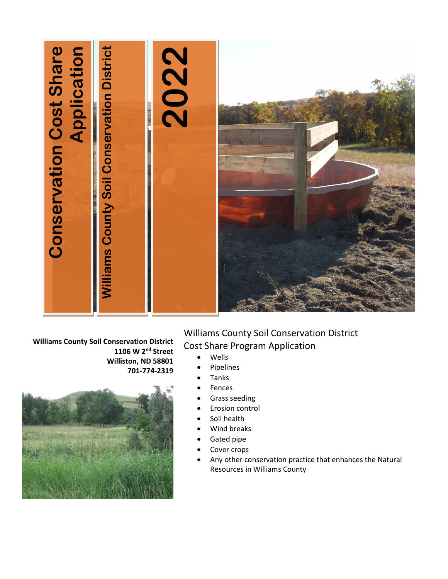

**Williams County Soil Conservation District 1106 W 2nd Street Williston, ND 58801 701-774-2319**



Williams County Soil Conservation District Cost Share Program Application

- Wells
- Pipelines
- Tanks
- **Fences**
- Grass seeding
- Erosion control
- Soil health
- Wind breaks
- Gated pipe
- Cover crops
- Any other conservation practice that enhances the Natural Resources in Williams County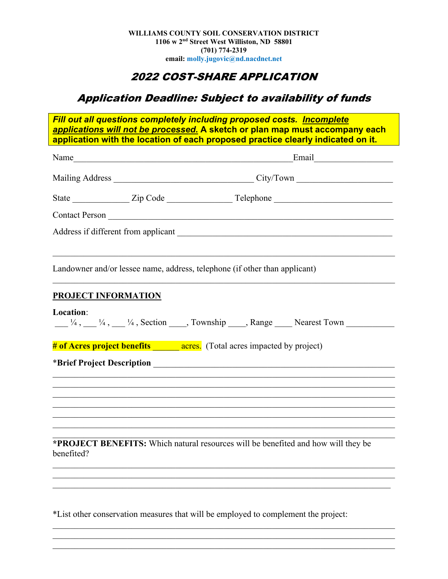# 2022 COST-SHARE APPLICATION

# Application Deadline: Subject to availability of funds

*Fill out all questions completely including proposed costs. Incomplete applications will not be processed.* **A sketch or plan map must accompany each application with the location of each proposed practice clearly indicated on it.**

|                                         | Name |                                                                                                                                                                      |
|-----------------------------------------|------|----------------------------------------------------------------------------------------------------------------------------------------------------------------------|
|                                         |      |                                                                                                                                                                      |
|                                         |      |                                                                                                                                                                      |
|                                         |      |                                                                                                                                                                      |
|                                         |      |                                                                                                                                                                      |
|                                         |      | Landowner and/or lessee name, address, telephone (if other than applicant)                                                                                           |
| <b>PROJECT INFORMATION</b><br>Location: |      | $\frac{1}{4}, \frac{1}{4}, \frac{1}{4}, \frac{1}{4}$ , Section ____, Township ____, Range _____ Nearest Town                                                         |
|                                         |      | # of Acres project benefits _______ acres. (Total acres impacted by project)                                                                                         |
|                                         |      |                                                                                                                                                                      |
|                                         |      |                                                                                                                                                                      |
|                                         |      | ,我们也不能在这里的时候,我们也不能在这里的时候,我们也不能会不能会不能会不能会不能会不能会不能会不能会。""我们的人,我们也不能会不能会不能会不能会不能会不能<br>,我们也不能在这里的时候,我们也不能在这里的时候,我们也不能会在这里,我们也不能会不能会不能会不能会不能会不能会。""我们,我们也不能会不能会不能会不能会不能会 |
|                                         |      | ,我们也不能在这里的时候,我们也不能在这里的时候,我们也不能会在这里的时候,我们也不能会在这里的时候,我们也不能会在这里的时候,我们也不能会在这里的时候,我们也不                                                                                    |
|                                         |      |                                                                                                                                                                      |
|                                         |      |                                                                                                                                                                      |
| benefited?                              |      | *PROJECT BENEFITS: Which natural resources will be benefited and how will they be                                                                                    |
|                                         |      |                                                                                                                                                                      |

\*List other conservation measures that will be employed to complement the project:

 $\mathcal{L}_\mathcal{L} = \mathcal{L}_\mathcal{L} = \mathcal{L}_\mathcal{L} = \mathcal{L}_\mathcal{L} = \mathcal{L}_\mathcal{L} = \mathcal{L}_\mathcal{L} = \mathcal{L}_\mathcal{L} = \mathcal{L}_\mathcal{L} = \mathcal{L}_\mathcal{L} = \mathcal{L}_\mathcal{L} = \mathcal{L}_\mathcal{L} = \mathcal{L}_\mathcal{L} = \mathcal{L}_\mathcal{L} = \mathcal{L}_\mathcal{L} = \mathcal{L}_\mathcal{L} = \mathcal{L}_\mathcal{L} = \mathcal{L}_\mathcal{L}$ 

\_\_\_\_\_\_\_\_\_\_\_\_\_\_\_\_\_\_\_\_\_\_\_\_\_\_\_\_\_\_\_\_\_\_\_\_\_\_\_\_\_\_\_\_\_\_\_\_\_\_\_\_\_\_\_\_\_\_\_\_\_\_\_\_\_\_\_\_\_\_\_\_\_\_\_\_\_\_